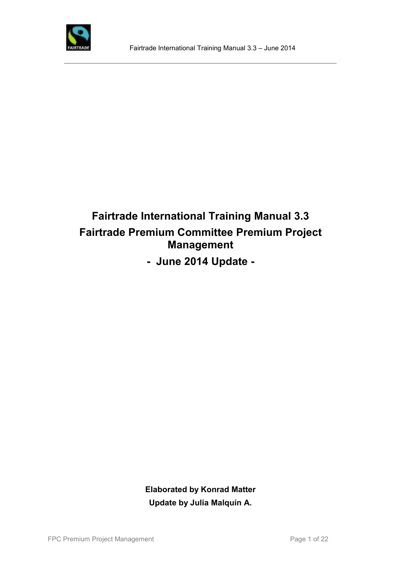

# **Fairtrade International Training Manual 3.3 Fairtrade Premium Committee Premium Project Management**

**- June 2014 Update -**

**Elaborated by Konrad Matter Update by Julia Malquín A.**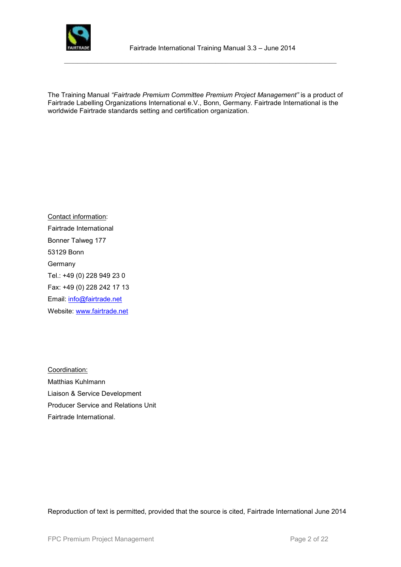

The Training Manual *"Fairtrade Premium Committee Premium Project Management"* is a product of Fairtrade Labelling Organizations International e.V., Bonn, Germany. Fairtrade International is the worldwide Fairtrade standards setting and certification organization.

 $\_$  ,  $\_$  ,  $\_$  ,  $\_$  ,  $\_$  ,  $\_$  ,  $\_$  ,  $\_$  ,  $\_$  ,  $\_$  ,  $\_$  ,  $\_$  ,  $\_$  ,  $\_$  ,  $\_$  ,  $\_$  ,  $\_$  ,  $\_$  ,  $\_$  ,  $\_$  ,  $\_$  ,  $\_$  ,  $\_$  ,  $\_$  ,  $\_$  ,  $\_$  ,  $\_$  ,  $\_$  ,  $\_$  ,  $\_$  ,  $\_$  ,  $\_$  ,  $\_$  ,  $\_$  ,  $\_$  ,  $\_$  ,  $\_$  ,

Contact information: Fairtrade International Bonner Talweg 177 53129 Bonn Germany Tel.: +49 (0) 228 949 23 0 Fax: +49 (0) 228 242 17 13 Email: [info@fairtrade.net](mailto:info@fairtrade.net) Website: [www.fairtrade.net](http://www.fairtrade.net/)

Coordination: Matthias Kuhlmann Liaison & Service Development Producer Service and Relations Unit Fairtrade International.

Reproduction of text is permitted, provided that the source is cited, Fairtrade International June 2014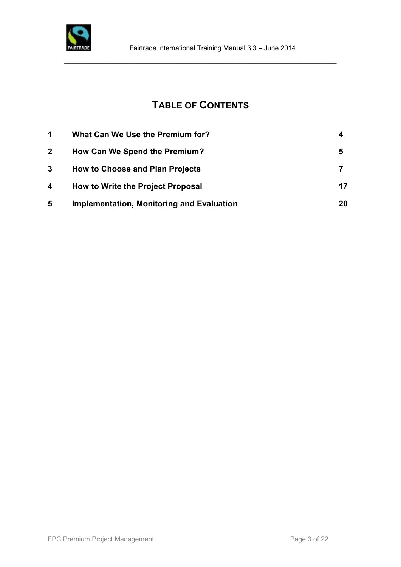

# **TABLE OF CONTENTS**

 $\_$  ,  $\_$  ,  $\_$  ,  $\_$  ,  $\_$  ,  $\_$  ,  $\_$  ,  $\_$  ,  $\_$  ,  $\_$  ,  $\_$  ,  $\_$  ,  $\_$  ,  $\_$  ,  $\_$  ,  $\_$  ,  $\_$  ,  $\_$  ,  $\_$  ,  $\_$  ,  $\_$  ,  $\_$  ,  $\_$  ,  $\_$  ,  $\_$  ,  $\_$  ,  $\_$  ,  $\_$  ,  $\_$  ,  $\_$  ,  $\_$  ,  $\_$  ,  $\_$  ,  $\_$  ,  $\_$  ,  $\_$  ,  $\_$  ,

| $\blacktriangleleft$ | What Can We Use the Premium for?                 |     |
|----------------------|--------------------------------------------------|-----|
| $\mathbf{2}$         | How Can We Spend the Premium?                    | 5   |
| 3                    | <b>How to Choose and Plan Projects</b>           |     |
| 4                    | How to Write the Project Proposal                | 17  |
| 5                    | <b>Implementation, Monitoring and Evaluation</b> | 20. |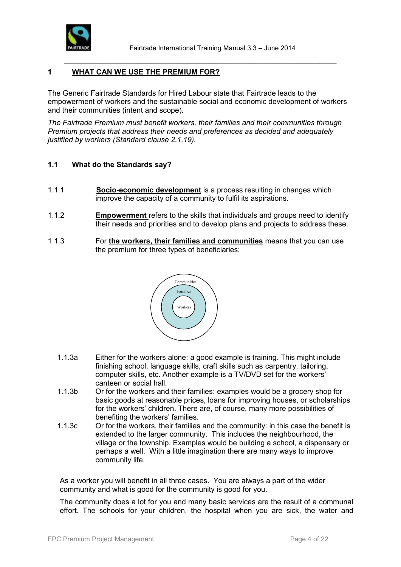

## **1 WHAT CAN WE USE THE PREMIUM FOR?**

The Generic Fairtrade Standards for Hired Labour state that Fairtrade leads to the empowerment of workers and the sustainable social and economic development of workers and their communities (intent and scope).

 $\_$  ,  $\_$  ,  $\_$  ,  $\_$  ,  $\_$  ,  $\_$  ,  $\_$  ,  $\_$  ,  $\_$  ,  $\_$  ,  $\_$  ,  $\_$  ,  $\_$  ,  $\_$  ,  $\_$  ,  $\_$  ,  $\_$  ,  $\_$  ,  $\_$  ,  $\_$  ,  $\_$  ,  $\_$  ,  $\_$  ,  $\_$  ,  $\_$  ,  $\_$  ,  $\_$  ,  $\_$  ,  $\_$  ,  $\_$  ,  $\_$  ,  $\_$  ,  $\_$  ,  $\_$  ,  $\_$  ,  $\_$  ,  $\_$  ,

*The Fairtrade Premium must benefit workers, their families and their communities through Premium projects that address their needs and preferences as decided and adequately justified by workers (Standard clause 2.1.19).*

#### **1.1 What do the Standards say?**

- 1.1.1 **Socio-economic development** is a process resulting in changes which improve the capacity of a community to fulfil its aspirations.
- 1.1.2 **Empowerment** refers to the skills that individuals and groups need to identify their needs and priorities and to develop plans and projects to address these.
- 1.1.3 For **the workers, their families and communities** means that you can use the premium for three types of beneficiaries:



- 1.1.3a Either for the workers alone: a good example is training. This might include finishing school, language skills, craft skills such as carpentry, tailoring, computer skills, etc. Another example is a TV/DVD set for the workers' canteen or social hall.
- 1.1.3b Or for the workers and their families: examples would be a grocery shop for basic goods at reasonable prices, loans for improving houses, or scholarships for the workers' children. There are, of course, many more possibilities of benefiting the workers' families.
- 1.1.3c Or for the workers, their families and the community: in this case the benefit is extended to the larger community. This includes the neighbourhood, the village or the township. Examples would be building a school, a dispensary or perhaps a well. With a little imagination there are many ways to improve community life.

As a worker you will benefit in all three cases. You are always a part of the wider community and what is good for the community is good for you.

The community does a lot for you and many basic services are the result of a communal effort. The schools for your children, the hospital when you are sick, the water and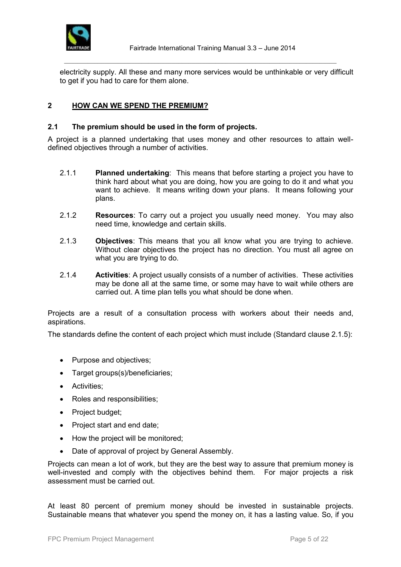

electricity supply. All these and many more services would be unthinkable or very difficult to get if you had to care for them alone.

 $\_$  ,  $\_$  ,  $\_$  ,  $\_$  ,  $\_$  ,  $\_$  ,  $\_$  ,  $\_$  ,  $\_$  ,  $\_$  ,  $\_$  ,  $\_$  ,  $\_$  ,  $\_$  ,  $\_$  ,  $\_$  ,  $\_$  ,  $\_$  ,  $\_$  ,  $\_$  ,  $\_$  ,  $\_$  ,  $\_$  ,  $\_$  ,  $\_$  ,  $\_$  ,  $\_$  ,  $\_$  ,  $\_$  ,  $\_$  ,  $\_$  ,  $\_$  ,  $\_$  ,  $\_$  ,  $\_$  ,  $\_$  ,  $\_$  ,

# **2 HOW CAN WE SPEND THE PREMIUM?**

#### **2.1 The premium should be used in the form of projects.**

A project is a planned undertaking that uses money and other resources to attain welldefined objectives through a number of activities.

- 2.1.1 **Planned undertaking**: This means that before starting a project you have to think hard about what you are doing, how you are going to do it and what you want to achieve. It means writing down your plans. It means following your plans.
- 2.1.2 **Resources**: To carry out a project you usually need money. You may also need time, knowledge and certain skills.
- 2.1.3 **Objectives**: This means that you all know what you are trying to achieve. Without clear objectives the project has no direction. You must all agree on what you are trying to do.
- 2.1.4 **Activities**: A project usually consists of a number of activities. These activities may be done all at the same time, or some may have to wait while others are carried out. A time plan tells you what should be done when.

Projects are a result of a consultation process with workers about their needs and, aspirations.

The standards define the content of each project which must include (Standard clause 2.1.5):

- Purpose and objectives;
- Target groups(s)/beneficiaries;
- Activities;
- Roles and responsibilities;
- Project budget;
- Project start and end date:
- How the project will be monitored;
- Date of approval of project by General Assembly.

Projects can mean a lot of work, but they are the best way to assure that premium money is well-invested and comply with the objectives behind them. For major projects a risk assessment must be carried out.

At least 80 percent of premium money should be invested in sustainable projects. Sustainable means that whatever you spend the money on, it has a lasting value. So, if you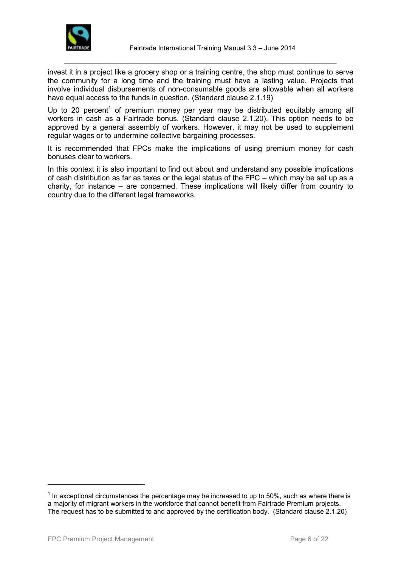

invest it in a project like a grocery shop or a training centre, the shop must continue to serve the community for a long time and the training must have a lasting value. Projects that involve individual disbursements of non-consumable goods are allowable when all workers have equal access to the funds in question. (Standard clause 2.1.19)

 $\_$  ,  $\_$  ,  $\_$  ,  $\_$  ,  $\_$  ,  $\_$  ,  $\_$  ,  $\_$  ,  $\_$  ,  $\_$  ,  $\_$  ,  $\_$  ,  $\_$  ,  $\_$  ,  $\_$  ,  $\_$  ,  $\_$  ,  $\_$  ,  $\_$  ,  $\_$  ,  $\_$  ,  $\_$  ,  $\_$  ,  $\_$  ,  $\_$  ,  $\_$  ,  $\_$  ,  $\_$  ,  $\_$  ,  $\_$  ,  $\_$  ,  $\_$  ,  $\_$  ,  $\_$  ,  $\_$  ,  $\_$  ,  $\_$  ,

Up to 20 percent<sup>1</sup> of premium money per year may be distributed equitably among all workers in cash as a Fairtrade bonus. (Standard clause 2.1.20). This option needs to be approved by a general assembly of workers. However, it may not be used to supplement regular wages or to undermine collective bargaining processes.

It is recommended that FPCs make the implications of using premium money for cash bonuses clear to workers.

In this context it is also important to find out about and understand any possible implications of cash distribution as far as taxes or the legal status of the FPC – which may be set up as a charity, for instance – are concerned. These implications will likely differ from country to country due to the different legal frameworks.

l

 $<sup>1</sup>$  In exceptional circumstances the percentage may be increased to up to 50%, such as where there is</sup> a majority of migrant workers in the workforce that cannot benefit from Fairtrade Premium projects. The request has to be submitted to and approved by the certification body. (Standard clause 2.1.20)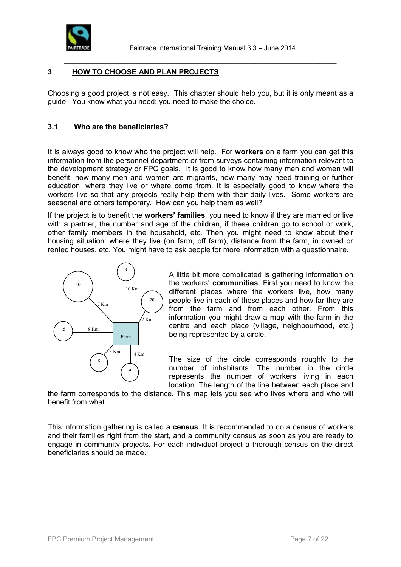

# **3 HOW TO CHOOSE AND PLAN PROJECTS**

Choosing a good project is not easy. This chapter should help you, but it is only meant as a guide. You know what you need; you need to make the choice.

 $\_$  ,  $\_$  ,  $\_$  ,  $\_$  ,  $\_$  ,  $\_$  ,  $\_$  ,  $\_$  ,  $\_$  ,  $\_$  ,  $\_$  ,  $\_$  ,  $\_$  ,  $\_$  ,  $\_$  ,  $\_$  ,  $\_$  ,  $\_$  ,  $\_$  ,  $\_$  ,  $\_$  ,  $\_$  ,  $\_$  ,  $\_$  ,  $\_$  ,  $\_$  ,  $\_$  ,  $\_$  ,  $\_$  ,  $\_$  ,  $\_$  ,  $\_$  ,  $\_$  ,  $\_$  ,  $\_$  ,  $\_$  ,  $\_$  ,

## **3.1 Who are the beneficiaries?**

It is always good to know who the project will help. For **workers** on a farm you can get this information from the personnel department or from surveys containing information relevant to the development strategy or FPC goals. It is good to know how many men and women will benefit, how many men and women are migrants, how many may need training or further education, where they live or where come from. It is especially good to know where the workers live so that any projects really help them with their daily lives. Some workers are seasonal and others temporary. How can you help them as well?

If the project is to benefit the **workers' families**, you need to know if they are married or live with a partner, the number and age of the children, if these children go to school or work, other family members in the household, etc. Then you might need to know about their housing situation: where they live (on farm, off farm), distance from the farm, in owned or rented houses, etc. You might have to ask people for more information with a questionnaire.



A little bit more complicated is gathering information on the workers' **communities**. First you need to know the different places where the workers live, how many people live in each of these places and how far they are from the farm and from each other. From this information you might draw a map with the farm in the centre and each place (village, neighbourhood, etc.) being represented by a circle.

The size of the circle corresponds roughly to the number of inhabitants. The number in the circle represents the number of workers living in each location. The length of the line between each place and

the farm corresponds to the distance. This map lets you see who lives where and who will benefit from what.

This information gathering is called a **census**. It is recommended to do a census of workers and their families right from the start, and a community census as soon as you are ready to engage in community projects. For each individual project a thorough census on the direct beneficiaries should be made.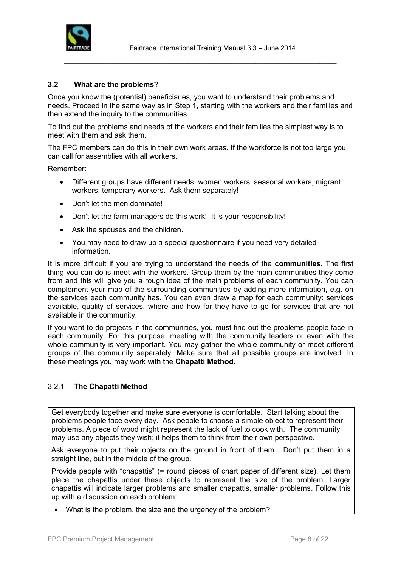

# **3.2 What are the problems?**

Once you know the (potential) beneficiaries, you want to understand their problems and needs. Proceed in the same way as in Step 1, starting with the workers and their families and then extend the inquiry to the communities.

 $\_$  ,  $\_$  ,  $\_$  ,  $\_$  ,  $\_$  ,  $\_$  ,  $\_$  ,  $\_$  ,  $\_$  ,  $\_$  ,  $\_$  ,  $\_$  ,  $\_$  ,  $\_$  ,  $\_$  ,  $\_$  ,  $\_$  ,  $\_$  ,  $\_$  ,  $\_$  ,  $\_$  ,  $\_$  ,  $\_$  ,  $\_$  ,  $\_$  ,  $\_$  ,  $\_$  ,  $\_$  ,  $\_$  ,  $\_$  ,  $\_$  ,  $\_$  ,  $\_$  ,  $\_$  ,  $\_$  ,  $\_$  ,  $\_$  ,

To find out the problems and needs of the workers and their families the simplest way is to meet with them and ask them.

The FPC members can do this in their own work areas. If the workforce is not too large you can call for assemblies with all workers.

Remember:

- Different groups have different needs: women workers, seasonal workers, migrant workers, temporary workers. Ask them separately!
- Don't let the men dominate!
- Don't let the farm managers do this work! It is your responsibility!
- Ask the spouses and the children.
- You may need to draw up a special questionnaire if you need very detailed information.

It is more difficult if you are trying to understand the needs of the **communities**. The first thing you can do is meet with the workers. Group them by the main communities they come from and this will give you a rough idea of the main problems of each community. You can complement your map of the surrounding communities by adding more information, e.g. on the services each community has. You can even draw a map for each community: services available, quality of services, where and how far they have to go for services that are not available in the community.

If you want to do projects in the communities, you must find out the problems people face in each community. For this purpose, meeting with the community leaders or even with the whole community is very important. You may gather the whole community or meet different groups of the community separately. Make sure that all possible groups are involved. In these meetings you may work with the **Chapatti Method.**

#### 3.2.1 **The Chapatti Method**

Get everybody together and make sure everyone is comfortable. Start talking about the problems people face every day. Ask people to choose a simple object to represent their problems. A piece of wood might represent the lack of fuel to cook with. The community may use any objects they wish; it helps them to think from their own perspective.

Ask everyone to put their objects on the ground in front of them. Don't put them in a straight line, but in the middle of the group.

Provide people with "chapattis" (= round pieces of chart paper of different size). Let them place the chapattis under these objects to represent the size of the problem. Larger chapattis will indicate larger problems and smaller chapattis, smaller problems. Follow this up with a discussion on each problem:

• What is the problem, the size and the urgency of the problem?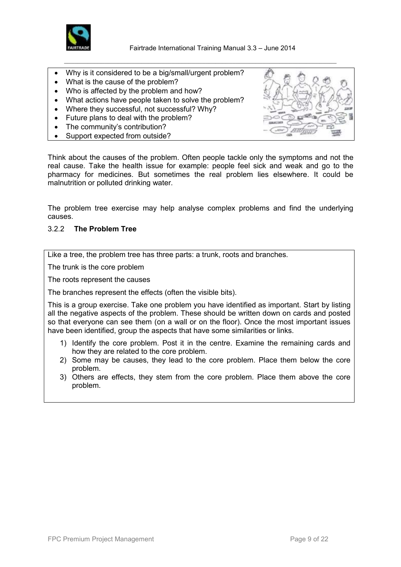

Fairtrade International Training Manual 3.3 – June 2014

 $\_$  ,  $\_$  ,  $\_$  ,  $\_$  ,  $\_$  ,  $\_$  ,  $\_$  ,  $\_$  ,  $\_$  ,  $\_$  ,  $\_$  ,  $\_$  ,  $\_$  ,  $\_$  ,  $\_$  ,  $\_$  ,  $\_$  ,  $\_$  ,  $\_$  ,  $\_$  ,  $\_$  ,  $\_$  ,  $\_$  ,  $\_$  ,  $\_$  ,  $\_$  ,  $\_$  ,  $\_$  ,  $\_$  ,  $\_$  ,  $\_$  ,  $\_$  ,  $\_$  ,  $\_$  ,  $\_$  ,  $\_$  ,  $\_$  ,

- Why is it considered to be a big/small/urgent problem?
- What is the cause of the problem?
- Who is affected by the problem and how?
- What actions have people taken to solve the problem?
- Where they successful, not successful? Why?
- Future plans to deal with the problem?
- The community's contribution?
- Support expected from outside?

Think about the causes of the problem. Often people tackle only the symptoms and not the real cause. Take the health issue for example: people feel sick and weak and go to the pharmacy for medicines. But sometimes the real problem lies elsewhere. It could be malnutrition or polluted drinking water.

The problem tree exercise may help analyse complex problems and find the underlying causes.

# 3.2.2 **The Problem Tree**

Like a tree, the problem tree has three parts: a trunk, roots and branches.

The trunk is the core problem

The roots represent the causes

The branches represent the effects (often the visible bits).

This is a group exercise. Take one problem you have identified as important. Start by listing all the negative aspects of the problem. These should be written down on cards and posted so that everyone can see them (on a wall or on the floor). Once the most important issues have been identified, group the aspects that have some similarities or links.

- 1) Identify the core problem. Post it in the centre. Examine the remaining cards and how they are related to the core problem.
- 2) Some may be causes, they lead to the core problem. Place them below the core problem.
- 3) Others are effects, they stem from the core problem. Place them above the core problem.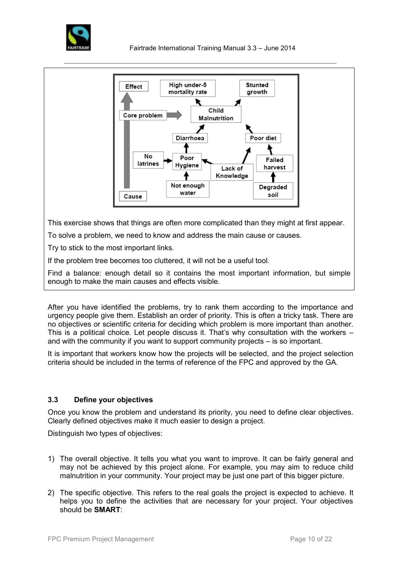



This exercise shows that things are often more complicated than they might at first appear.

To solve a problem, we need to know and address the main cause or causes.

Try to stick to the most important links.

If the problem tree becomes too cluttered, it will not be a useful tool.

Find a balance: enough detail so it contains the most important information, but simple enough to make the main causes and effects visible.

After you have identified the problems, try to rank them according to the importance and urgency people give them. Establish an order of priority. This is often a tricky task. There are no objectives or scientific criteria for deciding which problem is more important than another. This is a political choice. Let people discuss it. That's why consultation with the workers – and with the community if you want to support community projects – is so important.

It is important that workers know how the projects will be selected, and the project selection criteria should be included in the terms of reference of the FPC and approved by the GA.

# **3.3 Define your objectives**

Once you know the problem and understand its priority, you need to define clear objectives. Clearly defined objectives make it much easier to design a project.

Distinguish two types of objectives:

- 1) The overall objective. It tells you what you want to improve. It can be fairly general and may not be achieved by this project alone. For example, you may aim to reduce child malnutrition in your community. Your project may be just one part of this bigger picture.
- 2) The specific objective. This refers to the real goals the project is expected to achieve. It helps you to define the activities that are necessary for your project. Your objectives should be **SMART**: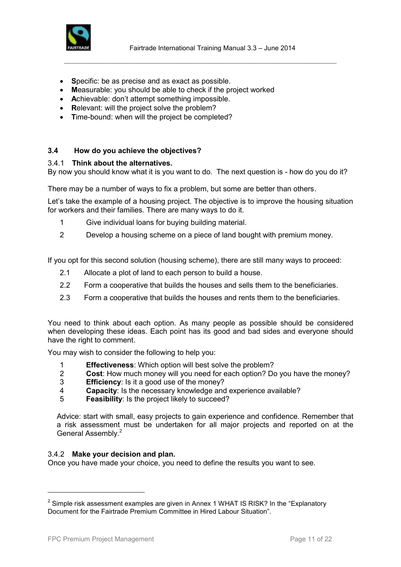

- Specific: be as precise and as exact as possible.
- **M**easurable: you should be able to check if the project worked
- **A**chievable: don't attempt something impossible.
- Relevant: will the project solve the problem?
- **Time-bound: when will the project be completed?**

# **3.4 How do you achieve the objectives?**

#### 3.4.1 **Think about the alternatives.**

By now you should know what it is you want to do. The next question is - how do you do it?

There may be a number of ways to fix a problem, but some are better than others.

Let's take the example of a housing project. The objective is to improve the housing situation for workers and their families. There are many ways to do it.

- 1 Give individual loans for buying building material.
- 2 Develop a housing scheme on a piece of land bought with premium money.

If you opt for this second solution (housing scheme), there are still many ways to proceed:

- 2.1 Allocate a plot of land to each person to build a house.
- 2.2 Form a cooperative that builds the houses and sells them to the beneficiaries.
- 2.3 Form a cooperative that builds the houses and rents them to the beneficiaries.

You need to think about each option. As many people as possible should be considered when developing these ideas. Each point has its good and bad sides and everyone should have the right to comment.

You may wish to consider the following to help you:

- 1 **Effectiveness**: Which option will best solve the problem?<br>2 **Cost**: How much money will you need for each option? Do
- 2 **Cost**: How much money will you need for each option? Do you have the money?
- 3 **Efficiency**: Is it a good use of the money?
- 4 **Capacity**: Is the necessary knowledge and experience available?
- 5 **Feasibility**: Is the project likely to succeed?

Advice: start with small, easy projects to gain experience and confidence. Remember that a risk assessment must be undertaken for all major projects and reported on at the General Assembly.<sup>2</sup>

#### 3.4.2 **Make your decision and plan.**

Once you have made your choice, you need to define the results you want to see.

l

 $2$  Simple risk assessment examples are given in Annex 1 WHAT IS RISK? In the "Explanatory Document for the Fairtrade Premium Committee in Hired Labour Situation".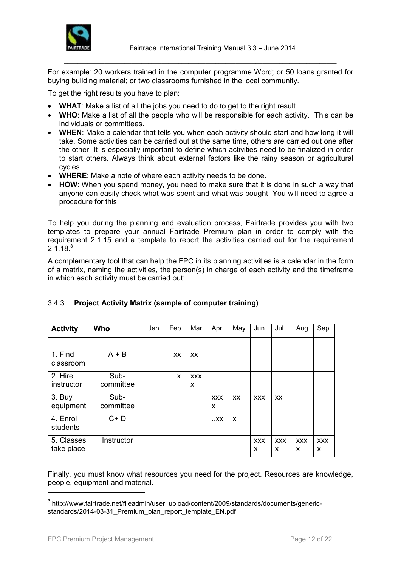

For example: 20 workers trained in the computer programme Word; or 50 loans granted for buying building material; or two classrooms furnished in the local community.

 $\_$  ,  $\_$  ,  $\_$  ,  $\_$  ,  $\_$  ,  $\_$  ,  $\_$  ,  $\_$  ,  $\_$  ,  $\_$  ,  $\_$  ,  $\_$  ,  $\_$  ,  $\_$  ,  $\_$  ,  $\_$  ,  $\_$  ,  $\_$  ,  $\_$  ,  $\_$  ,  $\_$  ,  $\_$  ,  $\_$  ,  $\_$  ,  $\_$  ,  $\_$  ,  $\_$  ,  $\_$  ,  $\_$  ,  $\_$  ,  $\_$  ,  $\_$  ,  $\_$  ,  $\_$  ,  $\_$  ,  $\_$  ,  $\_$  ,

To get the right results you have to plan:

- **WHAT**: Make a list of all the jobs you need to do to get to the right result.
- **WHO**: Make a list of all the people who will be responsible for each activity. This can be individuals or committees.
- **WHEN**: Make a calendar that tells you when each activity should start and how long it will take. Some activities can be carried out at the same time, others are carried out one after the other. It is especially important to define which activities need to be finalized in order to start others. Always think about external factors like the rainy season or agricultural cycles.
- **WHERE**: Make a note of where each activity needs to be done.
- **HOW**: When you spend money, you need to make sure that it is done in such a way that anyone can easily check what was spent and what was bought. You will need to agree a procedure for this.

To help you during the planning and evaluation process, Fairtrade provides you with two templates to prepare your annual Fairtrade Premium plan in order to comply with the requirement 2.1.15 and a template to report the activities carried out for the requirement  $2.1.18<sup>3</sup>$ 

A complementary tool that can help the FPC in its planning activities is a calendar in the form of a matrix, naming the activities, the person(s) in charge of each activity and the timeframe in which each activity must be carried out:

| <b>Activity</b>          | Who               | Jan | Feb       | Mar             | Apr             | May       | Jun             | Jul             | Aug             | Sep             |
|--------------------------|-------------------|-----|-----------|-----------------|-----------------|-----------|-----------------|-----------------|-----------------|-----------------|
|                          |                   |     |           |                 |                 |           |                 |                 |                 |                 |
| 1. Find<br>classroom     | $A + B$           |     | <b>XX</b> | <b>XX</b>       |                 |           |                 |                 |                 |                 |
| 2. Hire<br>instructor    | Sub-<br>committee |     | $\dots$ X | <b>XXX</b><br>X |                 |           |                 |                 |                 |                 |
| 3. Buy<br>equipment      | Sub-<br>committee |     |           |                 | <b>XXX</b><br>X | <b>XX</b> | <b>XXX</b>      | <b>XX</b>       |                 |                 |
| 4. Enrol<br>students     | $C + D$           |     |           |                 | . . XX          | X         |                 |                 |                 |                 |
| 5. Classes<br>take place | Instructor        |     |           |                 |                 |           | <b>XXX</b><br>X | <b>XXX</b><br>X | <b>XXX</b><br>X | <b>XXX</b><br>X |

# 3.4.3 **Project Activity Matrix (sample of computer training)**

Finally, you must know what resources you need for the project. Resources are knowledge, people, equipment and material.

l

<sup>&</sup>lt;sup>3</sup> http://www.fairtrade.net/fileadmin/user\_upload/content/2009/standards/documents/genericstandards/2014-03-31\_Premium\_plan\_report\_template\_EN.pdf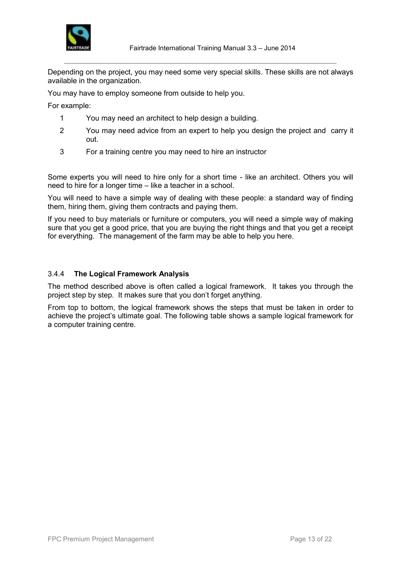

Depending on the project, you may need some very special skills. These skills are not always available in the organization.

 $\_$  ,  $\_$  ,  $\_$  ,  $\_$  ,  $\_$  ,  $\_$  ,  $\_$  ,  $\_$  ,  $\_$  ,  $\_$  ,  $\_$  ,  $\_$  ,  $\_$  ,  $\_$  ,  $\_$  ,  $\_$  ,  $\_$  ,  $\_$  ,  $\_$  ,  $\_$  ,  $\_$  ,  $\_$  ,  $\_$  ,  $\_$  ,  $\_$  ,  $\_$  ,  $\_$  ,  $\_$  ,  $\_$  ,  $\_$  ,  $\_$  ,  $\_$  ,  $\_$  ,  $\_$  ,  $\_$  ,  $\_$  ,  $\_$  ,

You may have to employ someone from outside to help you.

For example:

- 1 You may need an architect to help design a building.
- 2 You may need advice from an expert to help you design the project and carry it out.
- 3 For a training centre you may need to hire an instructor

Some experts you will need to hire only for a short time - like an architect. Others you will need to hire for a longer time – like a teacher in a school.

You will need to have a simple way of dealing with these people: a standard way of finding them, hiring them, giving them contracts and paying them.

If you need to buy materials or furniture or computers, you will need a simple way of making sure that you get a good price, that you are buying the right things and that you get a receipt for everything. The management of the farm may be able to help you here.

# 3.4.4 **The Logical Framework Analysis**

The method described above is often called a logical framework. It takes you through the project step by step. It makes sure that you don't forget anything.

From top to bottom, the logical framework shows the steps that must be taken in order to achieve the project's ultimate goal. The following table shows a sample logical framework for a computer training centre.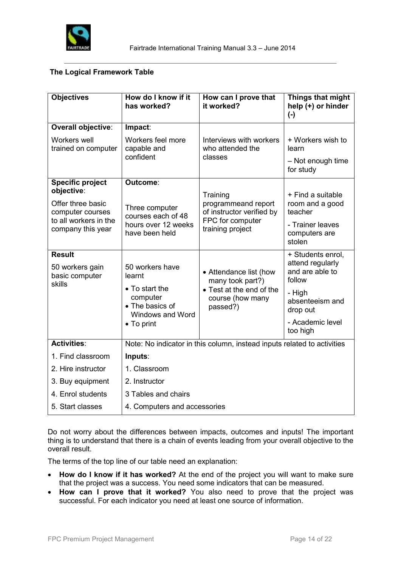

# **The Logical Framework Table**

| <b>Objectives</b>                                            | How do I know if it<br>has worked?                                            | How can I prove that<br>it worked?                           | Things that might<br>help (+) or hinder<br>$(-)$                   |  |  |  |  |
|--------------------------------------------------------------|-------------------------------------------------------------------------------|--------------------------------------------------------------|--------------------------------------------------------------------|--|--|--|--|
| Overall objective:                                           | Impact:                                                                       |                                                              |                                                                    |  |  |  |  |
| Workers well<br>trained on computer                          | Workers feel more<br>capable and                                              | Interviews with workers<br>who attended the                  | + Workers wish to<br>learn                                         |  |  |  |  |
|                                                              | confident                                                                     | classes                                                      | - Not enough time<br>for study                                     |  |  |  |  |
| <b>Specific project</b><br>objective:                        | Outcome:                                                                      |                                                              |                                                                    |  |  |  |  |
| Offer three basic<br>computer courses                        | Three computer<br>courses each of 48<br>hours over 12 weeks<br>have been held | Training<br>programmeand report<br>of instructor verified by | + Find a suitable<br>room and a good<br>teacher                    |  |  |  |  |
| to all workers in the<br>company this year                   |                                                                               | FPC for computer<br>training project                         | - Trainer leaves<br>computers are<br>stolen                        |  |  |  |  |
| <b>Result</b><br>50 workers gain<br>basic computer<br>skills | 50 workers have<br>learnt                                                     | • Attendance list (how<br>many took part?)                   | + Students enrol,<br>attend regularly<br>and are able to<br>follow |  |  |  |  |
|                                                              | • To start the<br>computer<br>• The basics of<br>Windows and Word             | • Test at the end of the<br>course (how many<br>passed?)     | - High<br>absenteeism and<br>drop out                              |  |  |  |  |
|                                                              | • To print                                                                    |                                                              | - Academic level<br>too high                                       |  |  |  |  |
| <b>Activities:</b>                                           | Note: No indicator in this column, instead inputs related to activities       |                                                              |                                                                    |  |  |  |  |
| 1. Find classroom                                            | Inputs:                                                                       |                                                              |                                                                    |  |  |  |  |
| 2. Hire instructor                                           | 1. Classroom                                                                  |                                                              |                                                                    |  |  |  |  |
| 3. Buy equipment                                             | 2. Instructor                                                                 |                                                              |                                                                    |  |  |  |  |
| 4. Enrol students                                            | 3 Tables and chairs                                                           |                                                              |                                                                    |  |  |  |  |
| 5. Start classes                                             | 4. Computers and accessories                                                  |                                                              |                                                                    |  |  |  |  |

Do not worry about the differences between impacts, outcomes and inputs! The important thing is to understand that there is a chain of events leading from your overall objective to the overall result.

The terms of the top line of our table need an explanation:

- **How do I know if it has worked?** At the end of the project you will want to make sure that the project was a success. You need some indicators that can be measured.
- **How can I prove that it worked?** You also need to prove that the project was successful. For each indicator you need at least one source of information.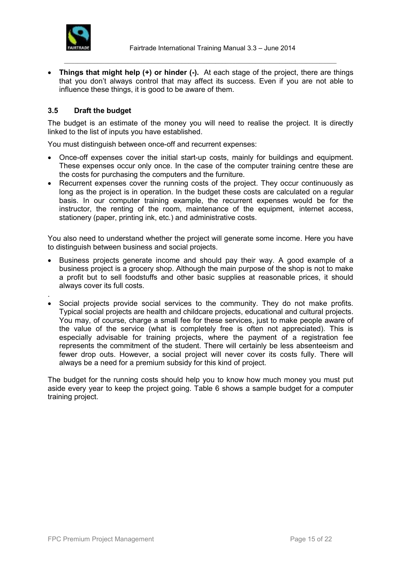

 **Things that might help (+) or hinder (-).** At each stage of the project, there are things that you don't always control that may affect its success. Even if you are not able to influence these things, it is good to be aware of them.

 $\_$  ,  $\_$  ,  $\_$  ,  $\_$  ,  $\_$  ,  $\_$  ,  $\_$  ,  $\_$  ,  $\_$  ,  $\_$  ,  $\_$  ,  $\_$  ,  $\_$  ,  $\_$  ,  $\_$  ,  $\_$  ,  $\_$  ,  $\_$  ,  $\_$  ,  $\_$  ,  $\_$  ,  $\_$  ,  $\_$  ,  $\_$  ,  $\_$  ,  $\_$  ,  $\_$  ,  $\_$  ,  $\_$  ,  $\_$  ,  $\_$  ,  $\_$  ,  $\_$  ,  $\_$  ,  $\_$  ,  $\_$  ,  $\_$  ,

# **3.5 Draft the budget**

The budget is an estimate of the money you will need to realise the project. It is directly linked to the list of inputs you have established.

You must distinguish between once-off and recurrent expenses:

- Once-off expenses cover the initial start-up costs, mainly for buildings and equipment. These expenses occur only once. In the case of the computer training centre these are the costs for purchasing the computers and the furniture.
- Recurrent expenses cover the running costs of the project. They occur continuously as long as the project is in operation. In the budget these costs are calculated on a regular basis. In our computer training example, the recurrent expenses would be for the instructor, the renting of the room, maintenance of the equipment, internet access, stationery (paper, printing ink, etc.) and administrative costs.

You also need to understand whether the project will generate some income. Here you have to distinguish between business and social projects.

- Business projects generate income and should pay their way. A good example of a business project is a grocery shop. Although the main purpose of the shop is not to make a profit but to sell foodstuffs and other basic supplies at reasonable prices, it should always cover its full costs.
- . Social projects provide social services to the community. They do not make profits. Typical social projects are health and childcare projects, educational and cultural projects. You may, of course, charge a small fee for these services, just to make people aware of the value of the service (what is completely free is often not appreciated). This is especially advisable for training projects, where the payment of a registration fee represents the commitment of the student. There will certainly be less absenteeism and fewer drop outs. However, a social project will never cover its costs fully. There will always be a need for a premium subsidy for this kind of project.

The budget for the running costs should help you to know how much money you must put aside every year to keep the project going. Table 6 shows a sample budget for a computer training project.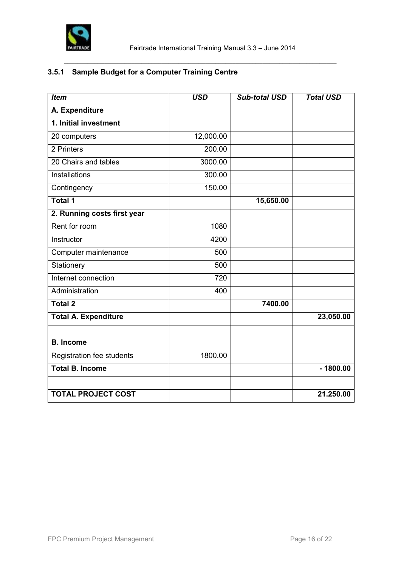

# **3.5.1 Sample Budget for a Computer Training Centre**

| <b>Item</b>                 | <b>USD</b> | <b>Sub-total USD</b> | <b>Total USD</b> |
|-----------------------------|------------|----------------------|------------------|
| A. Expenditure              |            |                      |                  |
| 1. Initial investment       |            |                      |                  |
| 20 computers                | 12,000.00  |                      |                  |
| 2 Printers                  | 200.00     |                      |                  |
| 20 Chairs and tables        | 3000.00    |                      |                  |
| Installations               | 300.00     |                      |                  |
| Contingency                 | 150.00     |                      |                  |
| <b>Total 1</b>              |            | 15,650.00            |                  |
| 2. Running costs first year |            |                      |                  |
| Rent for room               | 1080       |                      |                  |
| Instructor                  | 4200       |                      |                  |
| Computer maintenance        | 500        |                      |                  |
| Stationery                  | 500        |                      |                  |
| Internet connection         | 720        |                      |                  |
| Administration              | 400        |                      |                  |
| <b>Total 2</b>              |            | 7400.00              |                  |
| <b>Total A. Expenditure</b> |            |                      | 23,050.00        |
|                             |            |                      |                  |
| <b>B.</b> Income            |            |                      |                  |
| Registration fee students   | 1800.00    |                      |                  |
| <b>Total B. Income</b>      |            |                      | $-1800.00$       |
|                             |            |                      |                  |
| <b>TOTAL PROJECT COST</b>   |            |                      | 21.250.00        |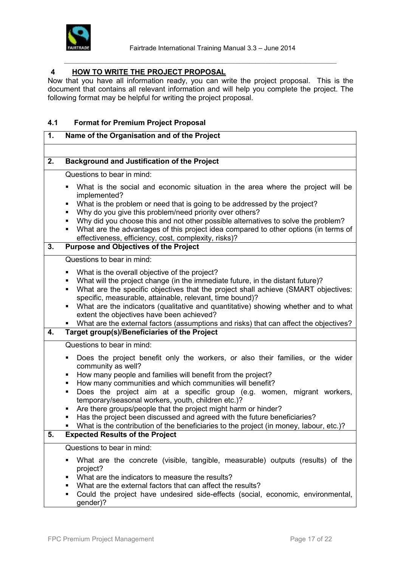

# **4 HOW TO WRITE THE PROJECT PROPOSAL**

Now that you have all information ready, you can write the project proposal. This is the document that contains all relevant information and will help you complete the project. The following format may be helpful for writing the project proposal.

 $\_$  ,  $\_$  ,  $\_$  ,  $\_$  ,  $\_$  ,  $\_$  ,  $\_$  ,  $\_$  ,  $\_$  ,  $\_$  ,  $\_$  ,  $\_$  ,  $\_$  ,  $\_$  ,  $\_$  ,  $\_$  ,  $\_$  ,  $\_$  ,  $\_$  ,  $\_$  ,  $\_$  ,  $\_$  ,  $\_$  ,  $\_$  ,  $\_$  ,  $\_$  ,  $\_$  ,  $\_$  ,  $\_$  ,  $\_$  ,  $\_$  ,  $\_$  ,  $\_$  ,  $\_$  ,  $\_$  ,  $\_$  ,  $\_$  ,

# **4.1 Format for Premium Project Proposal**

| 1. | Name of the Organisation and of the Project                                                                                                                                                                                                                                                                                                                                                                                                                                                                                                                                                                                                                                 |  |  |  |  |
|----|-----------------------------------------------------------------------------------------------------------------------------------------------------------------------------------------------------------------------------------------------------------------------------------------------------------------------------------------------------------------------------------------------------------------------------------------------------------------------------------------------------------------------------------------------------------------------------------------------------------------------------------------------------------------------------|--|--|--|--|
|    |                                                                                                                                                                                                                                                                                                                                                                                                                                                                                                                                                                                                                                                                             |  |  |  |  |
| 2. | <b>Background and Justification of the Project</b>                                                                                                                                                                                                                                                                                                                                                                                                                                                                                                                                                                                                                          |  |  |  |  |
|    | Questions to bear in mind:                                                                                                                                                                                                                                                                                                                                                                                                                                                                                                                                                                                                                                                  |  |  |  |  |
| 3. | What is the social and economic situation in the area where the project will be<br>Ξ<br>implemented?<br>What is the problem or need that is going to be addressed by the project?<br>٠<br>Why do you give this problem/need priority over others?<br>٠<br>Why did you choose this and not other possible alternatives to solve the problem?<br>٠<br>What are the advantages of this project idea compared to other options (in terms of<br>٠<br>effectiveness, efficiency, cost, complexity, risks)?<br><b>Purpose and Objectives of the Project</b>                                                                                                                        |  |  |  |  |
|    | Questions to bear in mind:                                                                                                                                                                                                                                                                                                                                                                                                                                                                                                                                                                                                                                                  |  |  |  |  |
| 4. | What is the overall objective of the project?<br>٠<br>What will the project change (in the immediate future, in the distant future)?<br>Е<br>What are the specific objectives that the project shall achieve (SMART objectives:<br>٠<br>specific, measurable, attainable, relevant, time bound)?<br>What are the indicators (qualitative and quantitative) showing whether and to what<br>٠<br>extent the objectives have been achieved?<br>What are the external factors (assumptions and risks) that can affect the objectives?<br>Target group(s)/Beneficiaries of the Project                                                                                           |  |  |  |  |
|    | Questions to bear in mind:                                                                                                                                                                                                                                                                                                                                                                                                                                                                                                                                                                                                                                                  |  |  |  |  |
| 5. | Does the project benefit only the workers, or also their families, or the wider<br>Ξ<br>community as well?<br>How many people and families will benefit from the project?<br>٠<br>How many communities and which communities will benefit?<br>٠<br>Does the project aim at a specific group (e.g. women, migrant workers,<br>٠<br>temporary/seasonal workers, youth, children etc.)?<br>Are there groups/people that the project might harm or hinder?<br>П<br>Has the project been discussed and agreed with the future beneficiaries?<br>What is the contribution of the beneficiaries to the project (in money, labour, etc.)?<br><b>Expected Results of the Project</b> |  |  |  |  |
|    | Questions to bear in mind:                                                                                                                                                                                                                                                                                                                                                                                                                                                                                                                                                                                                                                                  |  |  |  |  |
|    | What are the concrete (visible, tangible, measurable) outputs (results) of the<br>П<br>project?<br>What are the indicators to measure the results?<br>٠<br>What are the external factors that can affect the results?<br>П<br>Could the project have undesired side-effects (social, economic, environmental,<br>٠<br>gender)?                                                                                                                                                                                                                                                                                                                                              |  |  |  |  |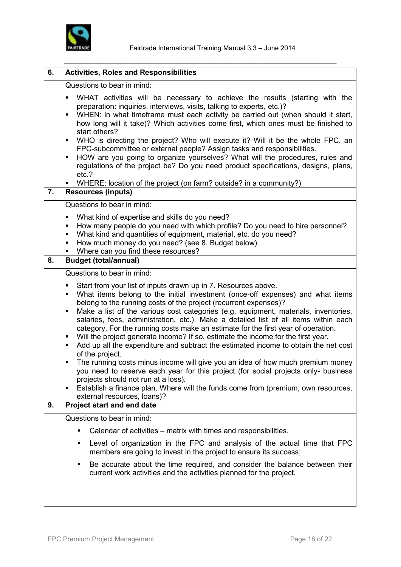

| 6. | <b>Activities, Roles and Responsibilities</b>                                                                                                                                                                                                                                                                                                                                                                                                                                                                                                                                                                                                                                                                                                                                                                                                                                                                                                                                                                                                 |  |  |  |  |  |
|----|-----------------------------------------------------------------------------------------------------------------------------------------------------------------------------------------------------------------------------------------------------------------------------------------------------------------------------------------------------------------------------------------------------------------------------------------------------------------------------------------------------------------------------------------------------------------------------------------------------------------------------------------------------------------------------------------------------------------------------------------------------------------------------------------------------------------------------------------------------------------------------------------------------------------------------------------------------------------------------------------------------------------------------------------------|--|--|--|--|--|
|    | Questions to bear in mind:                                                                                                                                                                                                                                                                                                                                                                                                                                                                                                                                                                                                                                                                                                                                                                                                                                                                                                                                                                                                                    |  |  |  |  |  |
| 7. | WHAT activities will be necessary to achieve the results (starting with the<br>preparation: inquiries, interviews, visits, talking to experts, etc.)?<br>WHEN: in what timeframe must each activity be carried out (when should it start,<br>٠<br>how long will it take)? Which activities come first, which ones must be finished to<br>start others?<br>WHO is directing the project? Who will execute it? Will it be the whole FPC, an<br>٠<br>FPC-subcommittee or external people? Assign tasks and responsibilities.<br>HOW are you going to organize yourselves? What will the procedures, rules and<br>٠<br>regulations of the project be? Do you need product specifications, designs, plans,<br>etc.?<br>WHERE: location of the project (on farm? outside? in a community?)<br><b>Resources (inputs)</b>                                                                                                                                                                                                                             |  |  |  |  |  |
|    | Questions to bear in mind:                                                                                                                                                                                                                                                                                                                                                                                                                                                                                                                                                                                                                                                                                                                                                                                                                                                                                                                                                                                                                    |  |  |  |  |  |
|    | What kind of expertise and skills do you need?<br>٠<br>How many people do you need with which profile? Do you need to hire personnel?<br>٠<br>What kind and quantities of equipment, material, etc. do you need?<br>٠<br>How much money do you need? (see 8. Budget below)<br>٠<br>Where can you find these resources?                                                                                                                                                                                                                                                                                                                                                                                                                                                                                                                                                                                                                                                                                                                        |  |  |  |  |  |
| 8. | <b>Budget (total/annual)</b>                                                                                                                                                                                                                                                                                                                                                                                                                                                                                                                                                                                                                                                                                                                                                                                                                                                                                                                                                                                                                  |  |  |  |  |  |
|    | Questions to bear in mind:                                                                                                                                                                                                                                                                                                                                                                                                                                                                                                                                                                                                                                                                                                                                                                                                                                                                                                                                                                                                                    |  |  |  |  |  |
|    | Start from your list of inputs drawn up in 7. Resources above.<br>٠<br>What items belong to the initial investment (once-off expenses) and what items<br>٠<br>belong to the running costs of the project (recurrent expenses)?<br>Make a list of the various cost categories (e.g. equipment, materials, inventories,<br>٠<br>salaries, fees, administration, etc.). Make a detailed list of all items within each<br>category. For the running costs make an estimate for the first year of operation.<br>Will the project generate income? If so, estimate the income for the first year.<br>Add up all the expenditure and subtract the estimated income to obtain the net cost<br>of the project.<br>The running costs minus income will give you an idea of how much premium money<br>you need to reserve each year for this project (for social projects only- business<br>projects should not run at a loss).<br>Establish a finance plan. Where will the funds come from (premium, own resources,<br>٠<br>external resources, loans)? |  |  |  |  |  |
| 9. | <b>Project start and end date</b>                                                                                                                                                                                                                                                                                                                                                                                                                                                                                                                                                                                                                                                                                                                                                                                                                                                                                                                                                                                                             |  |  |  |  |  |
|    | Questions to bear in mind:                                                                                                                                                                                                                                                                                                                                                                                                                                                                                                                                                                                                                                                                                                                                                                                                                                                                                                                                                                                                                    |  |  |  |  |  |
|    | Calendar of activities – matrix with times and responsibilities.                                                                                                                                                                                                                                                                                                                                                                                                                                                                                                                                                                                                                                                                                                                                                                                                                                                                                                                                                                              |  |  |  |  |  |
|    | Level of organization in the FPC and analysis of the actual time that FPC<br>members are going to invest in the project to ensure its success;                                                                                                                                                                                                                                                                                                                                                                                                                                                                                                                                                                                                                                                                                                                                                                                                                                                                                                |  |  |  |  |  |
|    | Be accurate about the time required, and consider the balance between their<br>current work activities and the activities planned for the project.                                                                                                                                                                                                                                                                                                                                                                                                                                                                                                                                                                                                                                                                                                                                                                                                                                                                                            |  |  |  |  |  |
|    |                                                                                                                                                                                                                                                                                                                                                                                                                                                                                                                                                                                                                                                                                                                                                                                                                                                                                                                                                                                                                                               |  |  |  |  |  |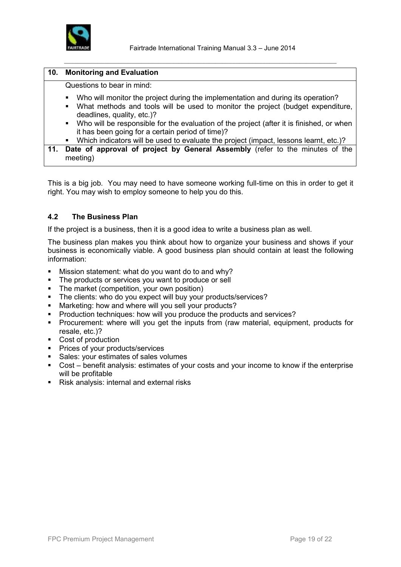

| 10. | <b>Monitoring and Evaluation</b>                                                                                                                                                                                                                                                                                                                                                        |
|-----|-----------------------------------------------------------------------------------------------------------------------------------------------------------------------------------------------------------------------------------------------------------------------------------------------------------------------------------------------------------------------------------------|
|     | Questions to bear in mind:                                                                                                                                                                                                                                                                                                                                                              |
|     | Who will monitor the project during the implementation and during its operation?<br>$\blacksquare$<br>What methods and tools will be used to monitor the project (budget expenditure,<br>$\blacksquare$<br>deadlines, quality, etc.)?<br>• Who will be responsible for the evaluation of the project (after it is finished, or when<br>it has been going for a certain period of time)? |
|     | • Which indicators will be used to evaluate the project (impact, lessons learnt, etc.)?                                                                                                                                                                                                                                                                                                 |
| 11. | Date of approval of project by General Assembly (refer to the minutes of the<br>meeting)                                                                                                                                                                                                                                                                                                |

This is a big job. You may need to have someone working full-time on this in order to get it right. You may wish to employ someone to help you do this.

# **4.2 The Business Plan**

If the project is a business, then it is a good idea to write a business plan as well.

The business plan makes you think about how to organize your business and shows if your business is economically viable. A good business plan should contain at least the following information:

- Mission statement: what do you want do to and why?
- The products or services you want to produce or sell
- The market (competition, your own position)
- The clients: who do you expect will buy your products/services?
- **Marketing: how and where will you sell your products?**
- **Production techniques: how will you produce the products and services?**
- **Procurement:** where will you get the inputs from (raw material, equipment, products for resale, etc.)?
- Cost of production
- **•** Prices of your products/services
- Sales: your estimates of sales volumes
- Cost benefit analysis: estimates of your costs and your income to know if the enterprise will be profitable
- Risk analysis: internal and external risks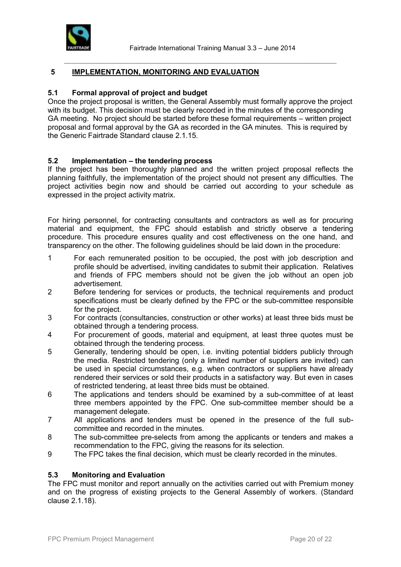

## **5 IMPLEMENTATION, MONITORING AND EVALUATION**

# **5.1 Formal approval of project and budget**

Once the project proposal is written, the General Assembly must formally approve the project with its budget. This decision must be clearly recorded in the minutes of the corresponding GA meeting. No project should be started before these formal requirements – written project proposal and formal approval by the GA as recorded in the GA minutes. This is required by the Generic Fairtrade Standard clause 2.1.15.

 $\_$  ,  $\_$  ,  $\_$  ,  $\_$  ,  $\_$  ,  $\_$  ,  $\_$  ,  $\_$  ,  $\_$  ,  $\_$  ,  $\_$  ,  $\_$  ,  $\_$  ,  $\_$  ,  $\_$  ,  $\_$  ,  $\_$  ,  $\_$  ,  $\_$  ,  $\_$  ,  $\_$  ,  $\_$  ,  $\_$  ,  $\_$  ,  $\_$  ,  $\_$  ,  $\_$  ,  $\_$  ,  $\_$  ,  $\_$  ,  $\_$  ,  $\_$  ,  $\_$  ,  $\_$  ,  $\_$  ,  $\_$  ,  $\_$  ,

# **5.2 Implementation – the tendering process**

If the project has been thoroughly planned and the written project proposal reflects the planning faithfully, the implementation of the project should not present any difficulties. The project activities begin now and should be carried out according to your schedule as expressed in the project activity matrix.

For hiring personnel, for contracting consultants and contractors as well as for procuring material and equipment, the FPC should establish and strictly observe a tendering procedure. This procedure ensures quality and cost effectiveness on the one hand, and transparency on the other. The following guidelines should be laid down in the procedure:

- 1 For each remunerated position to be occupied, the post with job description and profile should be advertised, inviting candidates to submit their application. Relatives and friends of FPC members should not be given the job without an open job advertisement.
- 2 Before tendering for services or products, the technical requirements and product specifications must be clearly defined by the FPC or the sub-committee responsible for the project.
- 3 For contracts (consultancies, construction or other works) at least three bids must be obtained through a tendering process.
- 4 For procurement of goods, material and equipment, at least three quotes must be obtained through the tendering process.
- 5 Generally, tendering should be open, i.e. inviting potential bidders publicly through the media. Restricted tendering (only a limited number of suppliers are invited) can be used in special circumstances, e.g. when contractors or suppliers have already rendered their services or sold their products in a satisfactory way. But even in cases of restricted tendering, at least three bids must be obtained.
- 6 The applications and tenders should be examined by a sub-committee of at least three members appointed by the FPC. One sub-committee member should be a management delegate.
- 7 All applications and tenders must be opened in the presence of the full subcommittee and recorded in the minutes.
- 8 The sub-committee pre-selects from among the applicants or tenders and makes a recommendation to the FPC, giving the reasons for its selection.
- 9 The FPC takes the final decision, which must be clearly recorded in the minutes.

#### **5.3 Monitoring and Evaluation**

The FPC must monitor and report annually on the activities carried out with Premium money and on the progress of existing projects to the General Assembly of workers. (Standard clause 2.1.18).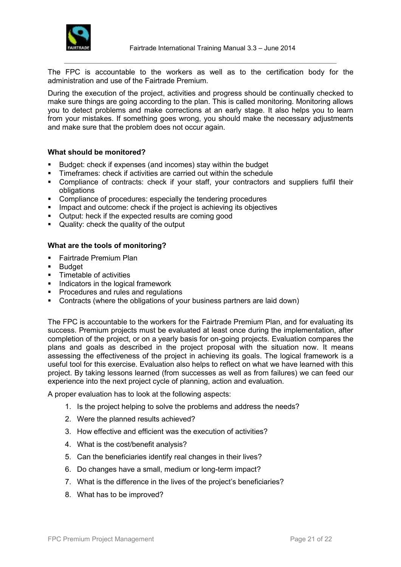

The FPC is accountable to the workers as well as to the certification body for the administration and use of the Fairtrade Premium.

 $\_$  ,  $\_$  ,  $\_$  ,  $\_$  ,  $\_$  ,  $\_$  ,  $\_$  ,  $\_$  ,  $\_$  ,  $\_$  ,  $\_$  ,  $\_$  ,  $\_$  ,  $\_$  ,  $\_$  ,  $\_$  ,  $\_$  ,  $\_$  ,  $\_$  ,  $\_$  ,  $\_$  ,  $\_$  ,  $\_$  ,  $\_$  ,  $\_$  ,  $\_$  ,  $\_$  ,  $\_$  ,  $\_$  ,  $\_$  ,  $\_$  ,  $\_$  ,  $\_$  ,  $\_$  ,  $\_$  ,  $\_$  ,  $\_$  ,

During the execution of the project, activities and progress should be continually checked to make sure things are going according to the plan. This is called monitoring. Monitoring allows you to detect problems and make corrections at an early stage. It also helps you to learn from your mistakes. If something goes wrong, you should make the necessary adjustments and make sure that the problem does not occur again.

#### **What should be monitored?**

- **Budget: check if expenses (and incomes) stay within the budget**
- **Timeframes: check if activities are carried out within the schedule**
- Compliance of contracts: check if your staff, your contractors and suppliers fulfil their obligations
- **EXECOMPLE COMPLIANCE OF PROCEDURES:** especially the tendering procedures
- **IMPACT** Impact and outcome: check if the project is achieving its objectives
- **•** Output: heck if the expected results are coming good
- Quality: check the quality of the output

# **What are the tools of monitoring?**

- **Fairtrade Premium Plan**
- **Budget**
- Timetable of activities
- Indicators in the logical framework
- **Procedures and rules and regulations**
- Contracts (where the obligations of your business partners are laid down)

The FPC is accountable to the workers for the Fairtrade Premium Plan, and for evaluating its success. Premium projects must be evaluated at least once during the implementation, after completion of the project, or on a yearly basis for on-going projects. Evaluation compares the plans and goals as described in the project proposal with the situation now. It means assessing the effectiveness of the project in achieving its goals. The logical framework is a useful tool for this exercise. Evaluation also helps to reflect on what we have learned with this project. By taking lessons learned (from successes as well as from failures) we can feed our experience into the next project cycle of planning, action and evaluation.

A proper evaluation has to look at the following aspects:

- 1. Is the project helping to solve the problems and address the needs?
- 2. Were the planned results achieved?
- 3. How effective and efficient was the execution of activities?
- 4. What is the cost/benefit analysis?
- 5. Can the beneficiaries identify real changes in their lives?
- 6. Do changes have a small, medium or long-term impact?
- 7. What is the difference in the lives of the project's beneficiaries?
- 8. What has to be improved?